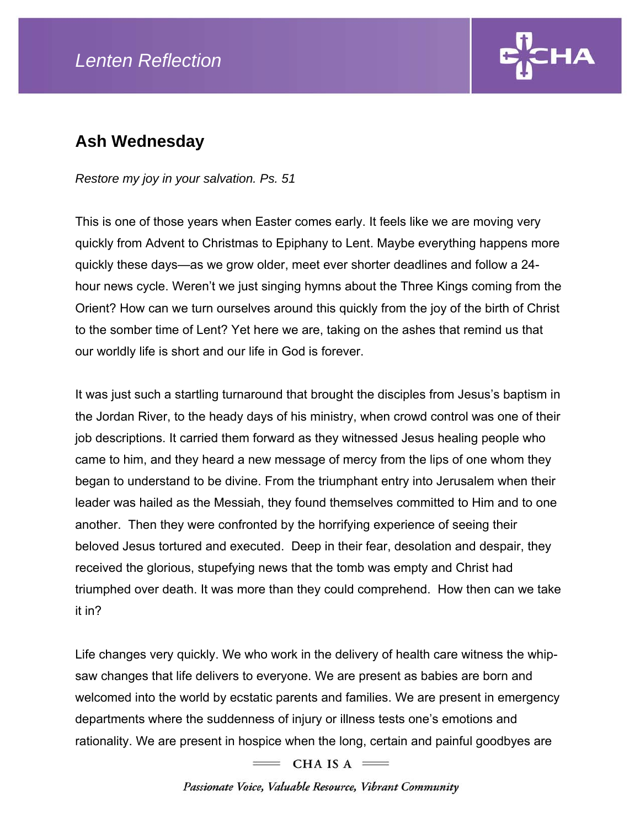## *Lenten Reflection*



## **Ash Wednesday**

*Restore my joy in your salvation. Ps. 51* 

This is one of those years when Easter comes early. It feels like we are moving very quickly from Advent to Christmas to Epiphany to Lent. Maybe everything happens more quickly these days—as we grow older, meet ever shorter deadlines and follow a 24 hour news cycle. Weren't we just singing hymns about the Three Kings coming from the Orient? How can we turn ourselves around this quickly from the joy of the birth of Christ to the somber time of Lent? Yet here we are, taking on the ashes that remind us that our worldly life is short and our life in God is forever.

It was just such a startling turnaround that brought the disciples from Jesus's baptism in the Jordan River, to the heady days of his ministry, when crowd control was one of their job descriptions. It carried them forward as they witnessed Jesus healing people who came to him, and they heard a new message of mercy from the lips of one whom they began to understand to be divine. From the triumphant entry into Jerusalem when their leader was hailed as the Messiah, they found themselves committed to Him and to one another. Then they were confronted by the horrifying experience of seeing their beloved Jesus tortured and executed. Deep in their fear, desolation and despair, they received the glorious, stupefying news that the tomb was empty and Christ had triumphed over death. It was more than they could comprehend. How then can we take it in?

Life changes very quickly. We who work in the delivery of health care witness the whipsaw changes that life delivers to everyone. We are present as babies are born and welcomed into the world by ecstatic parents and families. We are present in emergency departments where the suddenness of injury or illness tests one's emotions and rationality. We are present in hospice when the long, certain and painful goodbyes are

 $=$  CHA IS A  $=$ 

Passionate Voice, Valuable Resource, Vibrant Community